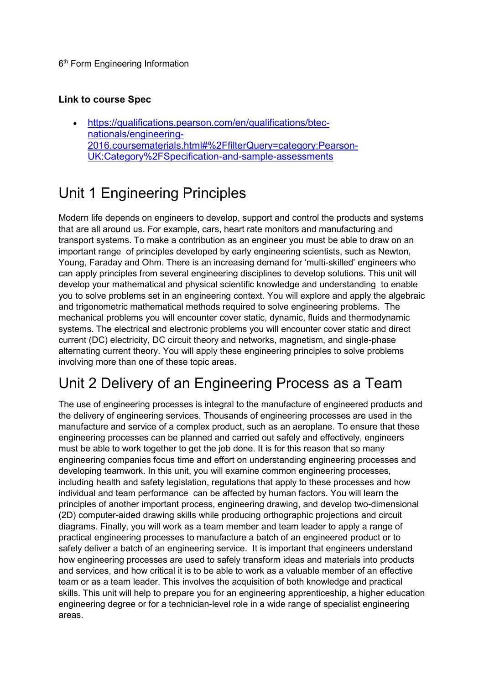6<sup>th</sup> Form Engineering Information

#### Link to course Spec

 https://qualifications.pearson.com/en/qualifications/btecnationals/engineering-2016.coursematerials.html#%2FfilterQuery=category:Pearson-UK:Category%2FSpecification-and-sample-assessments

### Unit 1 Engineering Principles

Modern life depends on engineers to develop, support and control the products and systems that are all around us. For example, cars, heart rate monitors and manufacturing and transport systems. To make a contribution as an engineer you must be able to draw on an important range of principles developed by early engineering scientists, such as Newton, Young, Faraday and Ohm. There is an increasing demand for 'multi-skilled' engineers who can apply principles from several engineering disciplines to develop solutions. This unit will develop your mathematical and physical scientific knowledge and understanding to enable you to solve problems set in an engineering context. You will explore and apply the algebraic and trigonometric mathematical methods required to solve engineering problems. The mechanical problems you will encounter cover static, dynamic, fluids and thermodynamic systems. The electrical and electronic problems you will encounter cover static and direct current (DC) electricity, DC circuit theory and networks, magnetism, and single-phase alternating current theory. You will apply these engineering principles to solve problems involving more than one of these topic areas.

# Unit 2 Delivery of an Engineering Process as a Team

The use of engineering processes is integral to the manufacture of engineered products and the delivery of engineering services. Thousands of engineering processes are used in the manufacture and service of a complex product, such as an aeroplane. To ensure that these engineering processes can be planned and carried out safely and effectively, engineers must be able to work together to get the job done. It is for this reason that so many engineering companies focus time and effort on understanding engineering processes and developing teamwork. In this unit, you will examine common engineering processes, including health and safety legislation, regulations that apply to these processes and how individual and team performance can be affected by human factors. You will learn the principles of another important process, engineering drawing, and develop two-dimensional (2D) computer-aided drawing skills while producing orthographic projections and circuit diagrams. Finally, you will work as a team member and team leader to apply a range of practical engineering processes to manufacture a batch of an engineered product or to safely deliver a batch of an engineering service. It is important that engineers understand how engineering processes are used to safely transform ideas and materials into products and services, and how critical it is to be able to work as a valuable member of an effective team or as a team leader. This involves the acquisition of both knowledge and practical skills. This unit will help to prepare you for an engineering apprenticeship, a higher education engineering degree or for a technician-level role in a wide range of specialist engineering areas.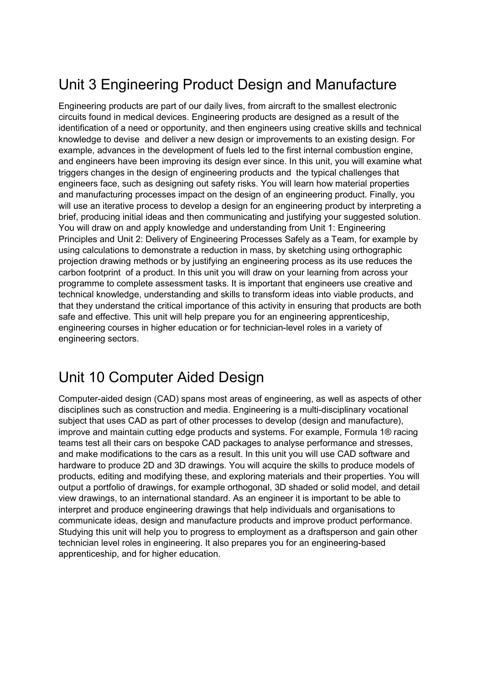# Unit 3 Engineering Product Design and Manufacture

Engineering products are part of our daily lives, from aircraft to the smallest electronic circuits found in medical devices. Engineering products are designed as a result of the identification of a need or opportunity, and then engineers using creative skills and technical knowledge to devise and deliver a new design or improvements to an existing design. For example, advances in the development of fuels led to the first internal combustion engine, and engineers have been improving its design ever since. In this unit, you will examine what triggers changes in the design of engineering products and the typical challenges that engineers face, such as designing out safety risks. You will learn how material properties and manufacturing processes impact on the design of an engineering product. Finally, you will use an iterative process to develop a design for an engineering product by interpreting a brief, producing initial ideas and then communicating and justifying your suggested solution. You will draw on and apply knowledge and understanding from Unit 1: Engineering Principles and Unit 2: Delivery of Engineering Processes Safely as a Team, for example by using calculations to demonstrate a reduction in mass, by sketching using orthographic projection drawing methods or by justifying an engineering process as its use reduces the carbon footprint of a product. In this unit you will draw on your learning from across your programme to complete assessment tasks. It is important that engineers use creative and technical knowledge, understanding and skills to transform ideas into viable products, and that they understand the critical importance of this activity in ensuring that products are both safe and effective. This unit will help prepare you for an engineering apprenticeship, engineering courses in higher education or for technician-level roles in a variety of engineering sectors.

#### Unit 10 Computer Aided Design

Computer-aided design (CAD) spans most areas of engineering, as well as aspects of other disciplines such as construction and media. Engineering is a multi-disciplinary vocational subject that uses CAD as part of other processes to develop (design and manufacture), improve and maintain cutting edge products and systems. For example, Formula 1® racing teams test all their cars on bespoke CAD packages to analyse performance and stresses, and make modifications to the cars as a result. In this unit you will use CAD software and hardware to produce 2D and 3D drawings. You will acquire the skills to produce models of products, editing and modifying these, and exploring materials and their properties. You will output a portfolio of drawings, for example orthogonal, 3D shaded or solid model, and detail view drawings, to an international standard. As an engineer it is important to be able to interpret and produce engineering drawings that help individuals and organisations to communicate ideas, design and manufacture products and improve product performance. Studying this unit will help you to progress to employment as a draftsperson and gain other technician level roles in engineering. It also prepares you for an engineering-based apprenticeship, and for higher education.